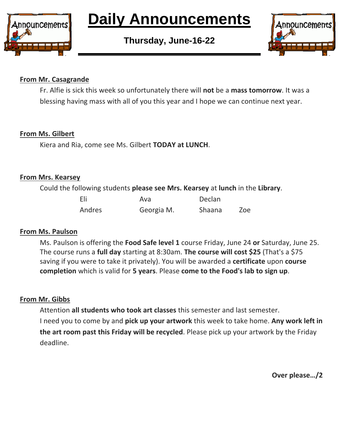

# **Daily Announcements**

**Thursday, June-16-22**



#### **From Mr. Casagrande**

Fr. Alfie is sick this week so unfortunately there will **not** be a **mass tomorrow**. It was a blessing having mass with all of you this year and I hope we can continue next year.

# **From Ms. Gilbert**

Kiera and Ria, come see Ms. Gilbert **TODAY at LUNCH**.

#### **From Mrs. Kearsey**

Could the following students **please see Mrs. Kearsey** at **lunch** in the **Library**.

| Eli    | Ava        | Declan |     |
|--------|------------|--------|-----|
| Andres | Georgia M. | Shaana | Zoe |

# **From Ms. Paulson**

Ms. Paulson is offering the **Food Safe level 1** course Friday, June 24 **or** Saturday, June 25. The course runs a **full day** starting at 8:30am. **The course will cost \$25** (That's a \$75 saving if you were to take it privately). You will be awarded a **certificate** upon **course completion** which is valid for **5 years**. Please **come to the Food's lab to sign up**.

# **From Mr. Gibbs**

Attention **all students who took art classes** this semester and last semester. I need you to come by and **pick up your artwork** this week to take home. **Any work left in the art room past this Friday will be recycled**. Please pick up your artwork by the Friday deadline.

**Over please…/2**